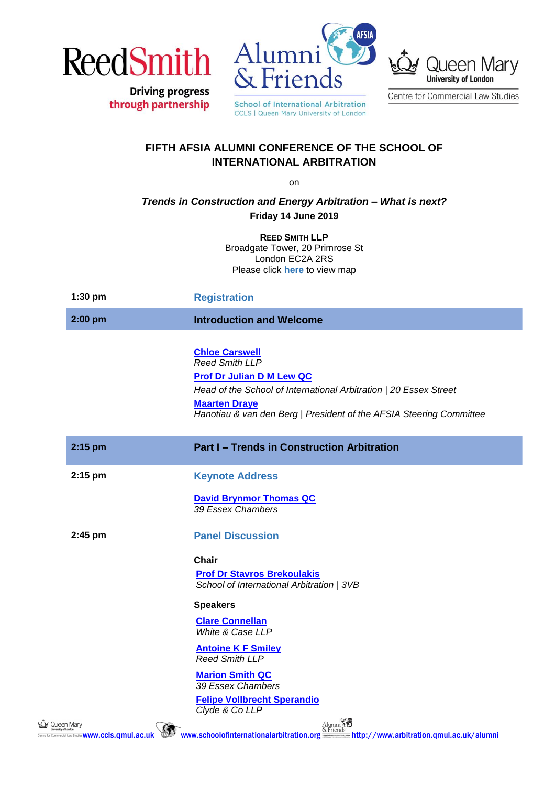

**Driving progress** 

through partnership



**CCLS | Queen Mary University of London** 



Centre for Commercial Law Studies

## **FIFTH AFSIA ALUMNI CONFERENCE OF THE SCHOOL OF INTERNATIONAL ARBITRATION**

on

*Trends in Construction and Energy Arbitration – What is next?* **Friday 14 June 2019**

> **REED SMITH LLP** Broadgate Tower, 20 Primrose St London EC2A 2RS Please click **[here](https://www.reedsmith.com/en/offices/london)** to view map

| 1:30 pm                                                                  | <b>Registration</b>                                                                                                                                                                                                                                    |
|--------------------------------------------------------------------------|--------------------------------------------------------------------------------------------------------------------------------------------------------------------------------------------------------------------------------------------------------|
| 2:00 pm                                                                  | <b>Introduction and Welcome</b>                                                                                                                                                                                                                        |
|                                                                          | <b>Chloe Carswell</b><br><b>Reed Smith LLP</b><br><b>Prof Dr Julian D M Lew QC</b><br>Head of the School of International Arbitration   20 Essex Street<br><b>Maarten Draye</b><br>Hanotiau & van den Berg   President of the AFSIA Steering Committee |
| 2:15 pm                                                                  | <b>Part I - Trends in Construction Arbitration</b>                                                                                                                                                                                                     |
| 2:15 pm                                                                  | <b>Keynote Address</b>                                                                                                                                                                                                                                 |
|                                                                          | <b>David Brynmor Thomas QC</b><br>39 Essex Chambers                                                                                                                                                                                                    |
| 2:45 pm                                                                  | <b>Panel Discussion</b>                                                                                                                                                                                                                                |
|                                                                          | <b>Chair</b><br><b>Prof Dr Stavros Brekoulakis</b><br>School of International Arbitration   3VB                                                                                                                                                        |
|                                                                          | <b>Speakers</b>                                                                                                                                                                                                                                        |
|                                                                          | <b>Clare Connellan</b><br>White & Case LLP                                                                                                                                                                                                             |
|                                                                          | <b>Antoine K F Smiley</b><br><b>Reed Smith LLP</b>                                                                                                                                                                                                     |
|                                                                          | <b>Marion Smith QC</b><br>39 Essex Chambers<br><b>Felipe Vollbrecht Sperandio</b><br>Clyde & Co LLP                                                                                                                                                    |
| ኑQ:/ Queen Mary<br>Centre for Commercial Law Studies WWW.CCIS.QMUI.ac.uk | Alumni<br>www.schoolofinternationalarbitration.org<br>http://www.arbitration.gmul.ac.uk/alumni                                                                                                                                                         |